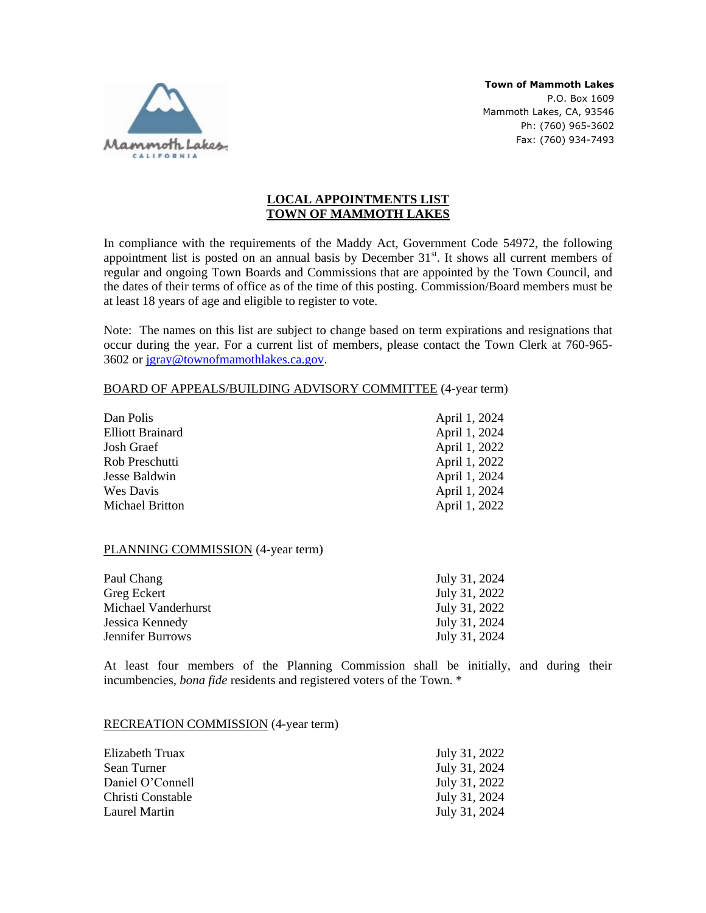

**Town of Mammoth Lakes** P.O. Box 1609 Mammoth Lakes, CA, 93546 Ph: (760) 965-3602 Fax: (760) 934-7493

## **LOCAL APPOINTMENTS LIST TOWN OF MAMMOTH LAKES**

In compliance with the requirements of the Maddy Act, Government Code 54972, the following appointment list is posted on an annual basis by December  $31<sup>st</sup>$ . It shows all current members of regular and ongoing Town Boards and Commissions that are appointed by the Town Council, and the dates of their terms of office as of the time of this posting. Commission/Board members must be at least 18 years of age and eligible to register to vote.

Note: The names on this list are subject to change based on term expirations and resignations that occur during the year. For a current list of members, please contact the Town Clerk at 760-965- 3602 or [jgray@townofmamothlakes.ca.gov.](mailto:jgray@townofmamothlakes.ca.gov)

## BOARD OF APPEALS/BUILDING ADVISORY COMMITTEE (4-year term)

| Dan Polis               | April 1, 2024 |
|-------------------------|---------------|
| <b>Elliott Brainard</b> | April 1, 2024 |
| Josh Graef              | April 1, 2022 |
| Rob Preschutti          | April 1, 2022 |
| Jesse Baldwin           | April 1, 2024 |
| Wes Davis               | April 1, 2024 |
| <b>Michael Britton</b>  | April 1, 2022 |

## PLANNING COMMISSION (4-year term)

| Paul Chang          | July 31, 2024 |
|---------------------|---------------|
| Greg Eckert         | July 31, 2022 |
| Michael Vanderhurst | July 31, 2022 |
| Jessica Kennedy     | July 31, 2024 |
| Jennifer Burrows    | July 31, 2024 |

At least four members of the Planning Commission shall be initially, and during their incumbencies, *bona fide* residents and registered voters of the Town. \*

## RECREATION COMMISSION (4-year term)

| July 31, 2022 |
|---------------|
| July 31, 2024 |
| July 31, 2022 |
| July 31, 2024 |
| July 31, 2024 |
|               |